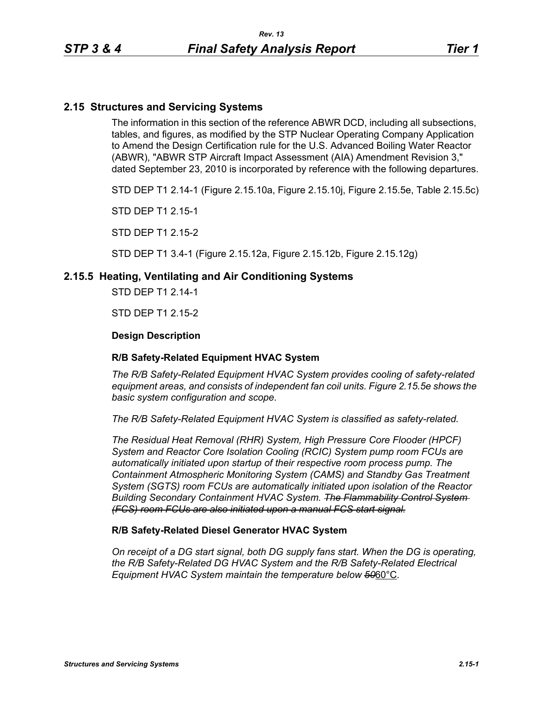### **2.15 Structures and Servicing Systems**

The information in this section of the reference ABWR DCD, including all subsections, tables, and figures, as modified by the STP Nuclear Operating Company Application to Amend the Design Certification rule for the U.S. Advanced Boiling Water Reactor (ABWR), "ABWR STP Aircraft Impact Assessment (AIA) Amendment Revision 3," dated September 23, 2010 is incorporated by reference with the following departures.

STD DEP T1 2.14-1 (Figure 2.15.10a, Figure 2.15.10j, Figure 2.15.5e, Table 2.15.5c)

STD DEP T1 2.15-1

STD DEP T1 2.15-2

STD DEP T1 3.4-1 (Figure 2.15.12a, Figure 2.15.12b, Figure 2.15.12g)

### **2.15.5 Heating, Ventilating and Air Conditioning Systems**

STD DEP T1 2.14-1

STD DEP T1 2.15-2

#### **Design Description**

#### **R/B Safety-Related Equipment HVAC System**

*The R/B Safety-Related Equipment HVAC System provides cooling of safety-related equipment areas, and consists of independent fan coil units. Figure 2.15.5e shows the basic system configuration and scope.*

*The R/B Safety-Related Equipment HVAC System is classified as safety-related.*

*The Residual Heat Removal (RHR) System, High Pressure Core Flooder (HPCF) System and Reactor Core Isolation Cooling (RCIC) System pump room FCUs are automatically initiated upon startup of their respective room process pump. The Containment Atmospheric Monitoring System (CAMS) and Standby Gas Treatment System (SGTS) room FCUs are automatically initiated upon isolation of the Reactor Building Secondary Containment HVAC System. The Flammability Control System (FCS) room FCUs are also initiated upon a manual FCS start signal.*

#### **R/B Safety-Related Diesel Generator HVAC System**

*On receipt of a DG start signal, both DG supply fans start. When the DG is operating, the R/B Safety-Related DG HVAC System and the R/B Safety-Related Electrical Equipment HVAC System maintain the temperature below 50*60°C*.*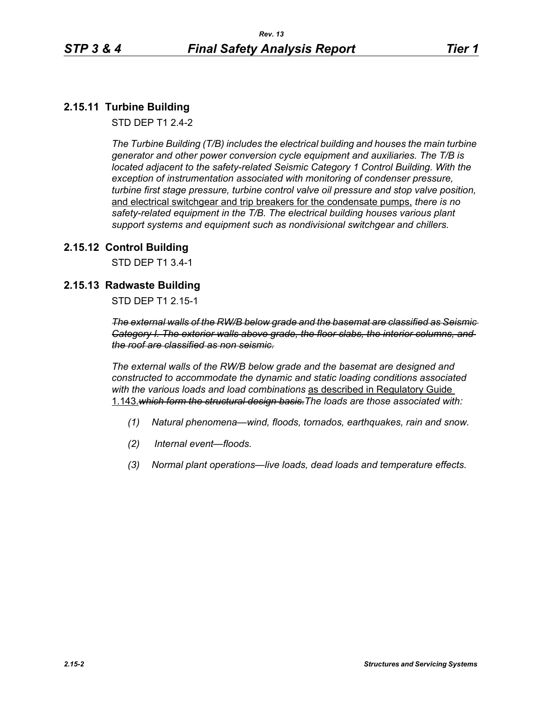# **2.15.11 Turbine Building**

STD DEP T1 2.4-2

*The Turbine Building (T/B) includes the electrical building and houses the main turbine generator and other power conversion cycle equipment and auxiliaries. The T/B is located adjacent to the safety-related Seismic Category 1 Control Building. With the exception of instrumentation associated with monitoring of condenser pressure, turbine first stage pressure, turbine control valve oil pressure and stop valve position,*  and electrical switchgear and trip breakers for the condensate pumps, *there is no safety-related equipment in the T/B. The electrical building houses various plant support systems and equipment such as nondivisional switchgear and chillers.*

### **2.15.12 Control Building**

STD DEP T1 3.4-1

## **2.15.13 Radwaste Building**

STD DEP T1 2.15-1

*The external walls of the RW/B below grade and the basemat are classified as Seismic Category I. The exterior walls above grade, the floor slabs, the interior columns, and the roof are classified as non seismic.*

*The external walls of the RW/B below grade and the basemat are designed and constructed to accommodate the dynamic and static loading conditions associated with the various loads and load combinations* as described in Regulatory Guide 1.143.*which form the structural design basis.The loads are those associated with:*

- *(1) Natural phenomena—wind, floods, tornados, earthquakes, rain and snow.*
- *(2) Internal event—floods.*
- *(3) Normal plant operations—live loads, dead loads and temperature effects.*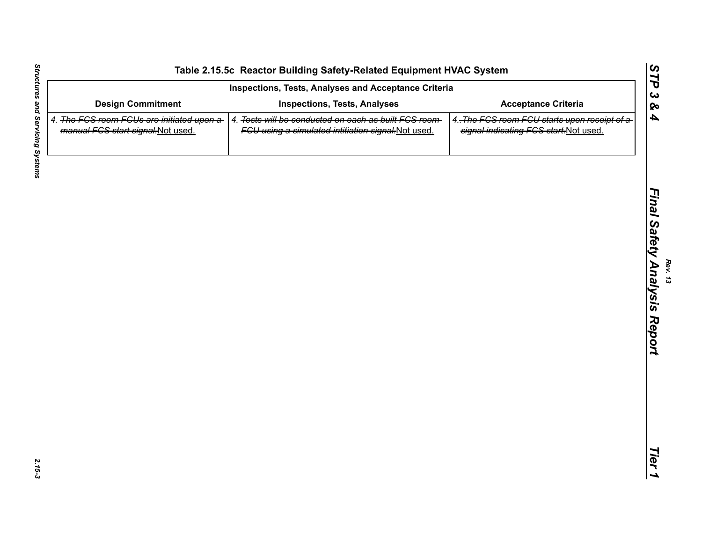| Inspections, Tests, Analyses and Acceptance Criteria                            |                                                                                                             |                                                                                        |
|---------------------------------------------------------------------------------|-------------------------------------------------------------------------------------------------------------|----------------------------------------------------------------------------------------|
| <b>Design Commitment</b>                                                        | <b>Inspections, Tests, Analyses</b>                                                                         | <b>Acceptance Criteria</b>                                                             |
| 4. The FCS room FCUs are initiated upon a-<br>manual FCS start signal-Not used. | 4. Tests will be conducted on each as built FCS room-<br>FCU using a simulated intitiation signal-Not used. | 4. The FCS room FCU starts upon receipt of a-<br>signal indicating FCS start-Not used. |
|                                                                                 |                                                                                                             |                                                                                        |
|                                                                                 |                                                                                                             |                                                                                        |
|                                                                                 |                                                                                                             |                                                                                        |
|                                                                                 |                                                                                                             |                                                                                        |
|                                                                                 |                                                                                                             |                                                                                        |
|                                                                                 |                                                                                                             |                                                                                        |
|                                                                                 |                                                                                                             |                                                                                        |
|                                                                                 |                                                                                                             |                                                                                        |
|                                                                                 |                                                                                                             |                                                                                        |
|                                                                                 |                                                                                                             |                                                                                        |
|                                                                                 |                                                                                                             |                                                                                        |
|                                                                                 |                                                                                                             |                                                                                        |

2.15-3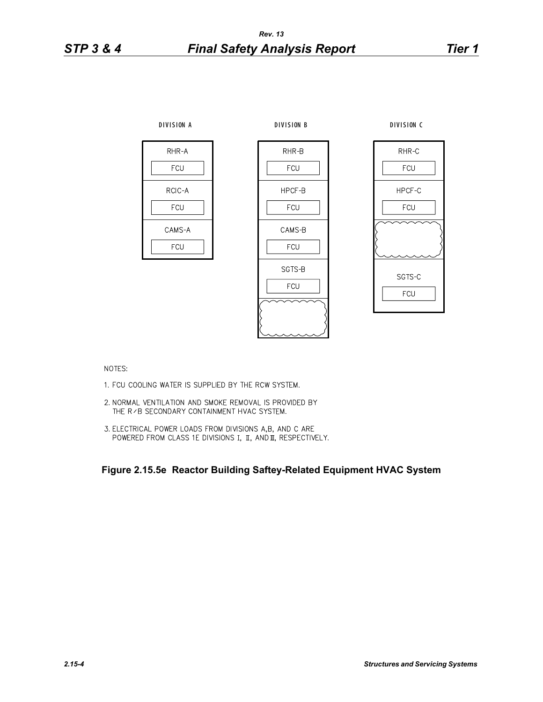

NOTES:

- 1. FCU COOLING WATER IS SUPPLIED BY THE RCW SYSTEM.
- 2. NORMAL VENTILATION AND SMOKE REMOVAL IS PROVIDED BY THE R / B SECONDARY CONTAINMENT HVAC SYSTEM.
- 3. ELECTRICAL POWER LOADS FROM DIVISIONS A,B, AND C ARE POWERED FROM CLASS 1E DIVISIONS I, II, AND II, RESPECTIVELY.

**Figure 2.15.5e Reactor Building Saftey-Related Equipment HVAC System**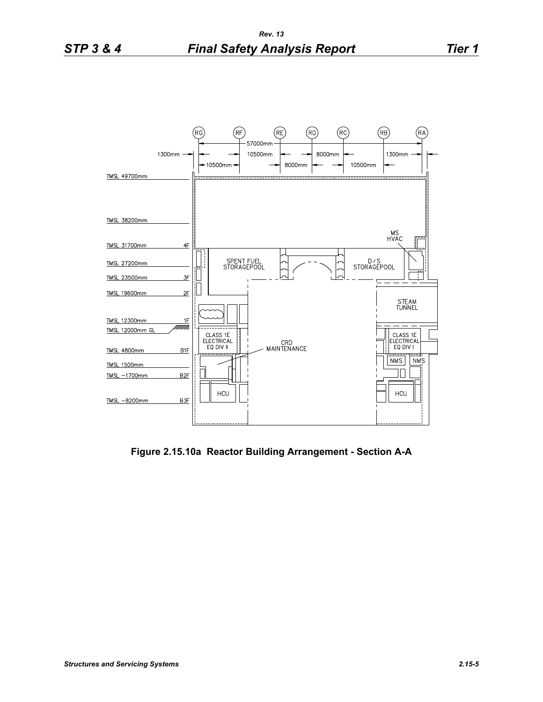

**Figure 2.15.10a Reactor Building Arrangement - Section A-A**

TMSL-8200mm

 $B3F$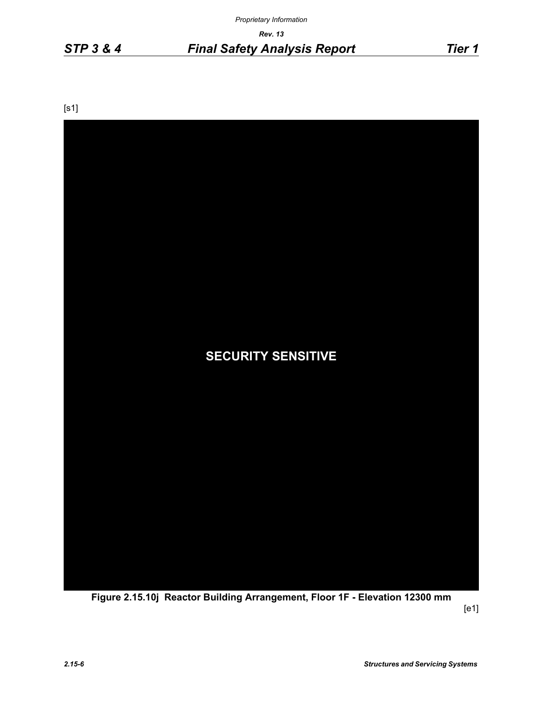*Proprietary Information*

*Rev. 13*

*STP 3 & 4 Final Safety Analysis Report Tier 1*

[s1]



**Figure 2.15.10j Reactor Building Arrangement, Floor 1F - Elevation 12300 mm**

[e1]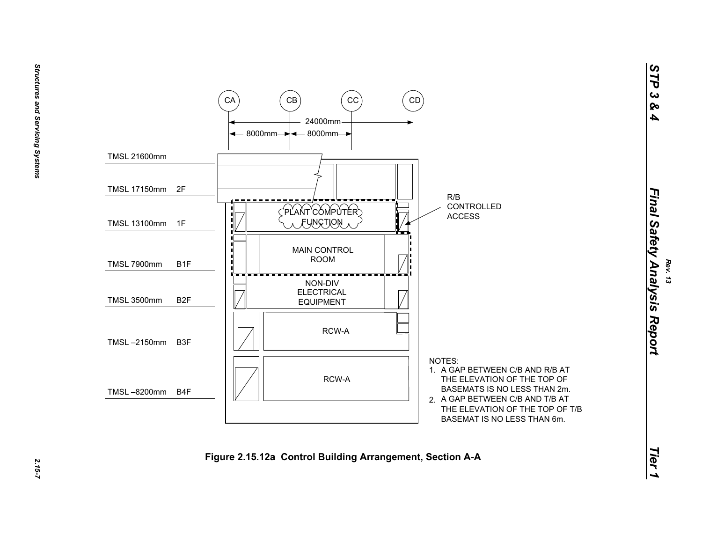

 $2.15 - 7$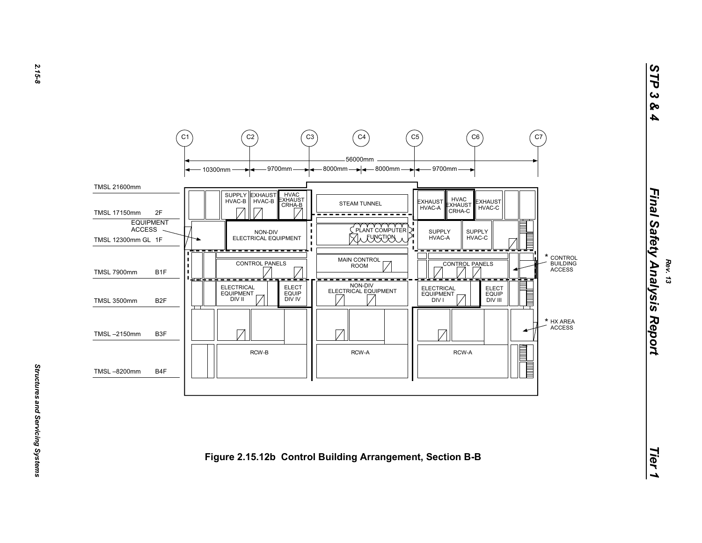